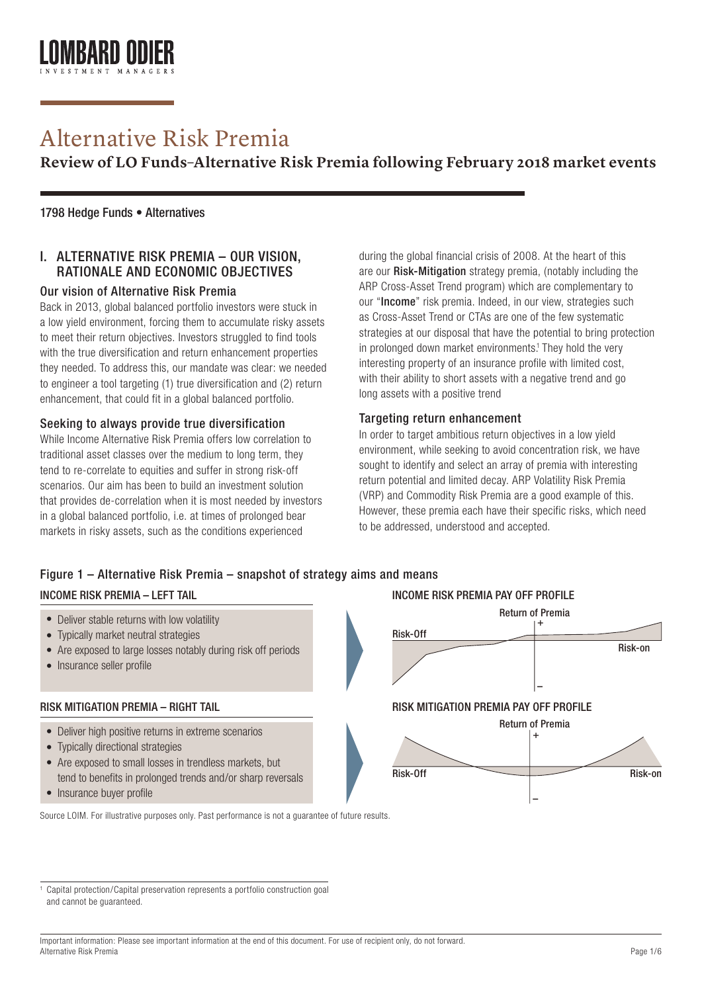# Alternative Risk Premia

**Review of LO Funds–Alternative Risk Premia following February 2018 market events**

#### 1798 Hedge Funds • Alternatives

### I. ALTERNATIVE RISK PREMIA – OUR VISION, RATIONALE AND ECONOMIC OBJECTIVES

#### Our vision of Alternative Risk Premia

Back in 2013, global balanced portfolio investors were stuck in a low yield environment, forcing them to accumulate risky assets to meet their return objectives. Investors struggled to find tools with the true diversification and return enhancement properties they needed. To address this, our mandate was clear: we needed to engineer a tool targeting (1) true diversification and (2) return enhancement, that could fit in a global balanced portfolio.

#### Seeking to always provide true diversification

While Income Alternative Risk Premia offers low correlation to traditional asset classes over the medium to long term, they tend to re-correlate to equities and suffer in strong risk-off scenarios. Our aim has been to build an investment solution that provides de-correlation when it is most needed by investors in a global balanced portfolio, i.e. at times of prolonged bear markets in risky assets, such as the conditions experienced

during the global financial crisis of 2008. At the heart of this are our Risk-Mitigation strategy premia, (notably including the ARP Cross-Asset Trend program) which are complementary to our "Income" risk premia. Indeed, in our view, strategies such as Cross-Asset Trend or CTAs are one of the few systematic strategies at our disposal that have the potential to bring protection in prolonged down market environments.<sup>1</sup> They hold the very interesting property of an insurance profile with limited cost, with their ability to short assets with a negative trend and go long assets with a positive trend

#### Targeting return enhancement

In order to target ambitious return objectives in a low yield environment, while seeking to avoid concentration risk, we have sought to identify and select an array of premia with interesting return potential and limited decay. ARP Volatility Risk Premia (VRP) and Commodity Risk Premia are a good example of this. However, these premia each have their specific risks, which need to be addressed, understood and accepted.

# Figure 1 – Alternative Risk Premia – snapshot of strategy aims and means

#### INCOME RISK PREMIA – LEFT TAIL

- Deliver stable returns with low volatility
- Typically market neutral strategies •
- Are exposed to large losses notably during risk off periods
- Insurance seller profile

#### RISK MITIGATION PREMIA – RIGHT TAIL

- Deliver high positive returns in extreme scenarios •
- Typically directional strategies •
- Are exposed to small losses in trendless markets, but tend to benefits in prolonged trends and/or sharp reversals
- Insurance buyer profile



Source LOIM. For illustrative purposes only. Past performance is not a guarantee of future results.

<sup>1</sup> Capital protection/Capital preservation represents a portfolio construction goal and cannot be guaranteed.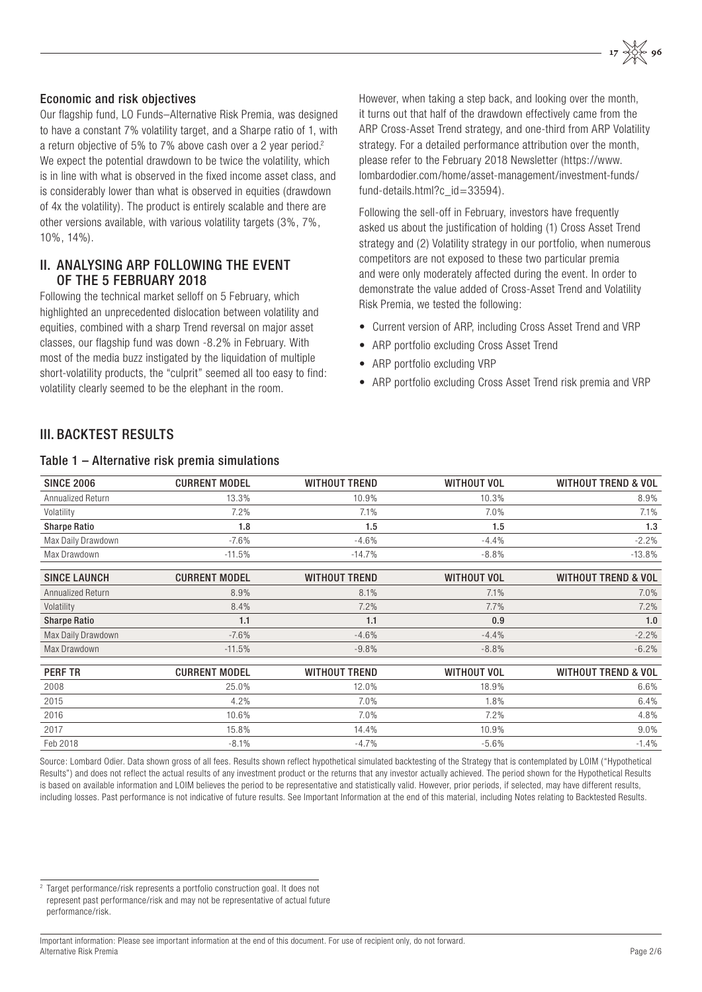#### Economic and risk objectives

Our flagship fund, LO Funds–Alternative Risk Premia, was designed to have a constant 7% volatility target, and a Sharpe ratio of 1, with a return objective of 5% to 7% above cash over a 2 year period.<sup>2</sup> We expect the potential drawdown to be twice the volatility, which is in line with what is observed in the fixed income asset class, and is considerably lower than what is observed in equities (drawdown of 4x the volatility). The product is entirely scalable and there are other versions available, with various volatility targets (3%, 7%, 10%, 14%).

#### II. ANALYSING ARP FOLLOWING THE EVENT OF THE 5 FEBRUARY 2018

Following the technical market selloff on 5 February, which highlighted an unprecedented dislocation between volatility and equities, combined with a sharp Trend reversal on major asset classes, our flagship fund was down -8.2% in February. With most of the media buzz instigated by the liquidation of multiple short-volatility products, the "culprit" seemed all too easy to find: volatility clearly seemed to be the elephant in the room.

However, when taking a step back, and looking over the month, it turns out that half of the drawdown effectively came from the ARP Cross-Asset Trend strategy, and one-third from ARP Volatility strategy. For a detailed performance attribution over the month, please refer to the February 2018 Newsletter (https://www. lombardodier.com/home/asset-management/investment-funds/ fund-details.html?c\_id=33594).

Following the sell-off in February, investors have frequently asked us about the justification of holding (1) Cross Asset Trend strategy and (2) Volatility strategy in our portfolio, when numerous competitors are not exposed to these two particular premia and were only moderately affected during the event. In order to demonstrate the value added of Cross-Asset Trend and Volatility Risk Premia, we tested the following:

- Current version of ARP, including Cross Asset Trend and VRP
- ARP portfolio excluding Cross Asset Trend
- ARP portfolio excluding VRP
- ARP portfolio excluding Cross Asset Trend risk premia and VRP

# **III. BACKTEST RESULTS**

#### Table 1 – Alternative risk premia simulations

| <b>SINCE 2006</b>   | <b>CURRENT MODEL</b> | <b>WITHOUT TREND</b> | <b>WITHOUT VOL</b> | <b>WITHOUT TREND &amp; VOL</b> |
|---------------------|----------------------|----------------------|--------------------|--------------------------------|
| Annualized Return   | 13.3%                | 10.9%                | 10.3%              | 8.9%                           |
| Volatility          | 7.2%                 | 7.1%                 | 7.0%               | 7.1%                           |
| <b>Sharpe Ratio</b> | 1.8                  | 1.5                  | 1.5                | 1.3                            |
| Max Daily Drawdown  | $-7.6%$              | $-4.6%$              | $-4.4%$            | $-2.2%$                        |
| Max Drawdown        | $-11.5%$             | $-14.7%$             | $-8.8%$            | $-13.8%$                       |
| <b>SINCE LAUNCH</b> | <b>CURRENT MODEL</b> | <b>WITHOUT TREND</b> | <b>WITHOUT VOL</b> | <b>WITHOUT TREND &amp; VOL</b> |
| Annualized Return   | 8.9%                 | 8.1%                 | 7.1%               | 7.0%                           |
| Volatility          | 8.4%                 | 7.2%                 | 7.7%               | 7.2%                           |
| <b>Sharpe Ratio</b> | 1.1                  | 1.1                  | 0.9                | 1.0                            |
| Max Daily Drawdown  | $-7.6%$              | $-4.6%$              | $-4.4%$            | $-2.2%$                        |
| Max Drawdown        | $-11.5%$             | $-9.8%$              | $-8.8%$            | $-6.2%$                        |
| <b>PERF TR</b>      | <b>CURRENT MODEL</b> | <b>WITHOUT TREND</b> | <b>WITHOUT VOL</b> | <b>WITHOUT TREND &amp; VOL</b> |
| 2008                | 25.0%                | 12.0%                | 18.9%              | 6.6%                           |
| 2015                | 4.2%                 | 7.0%                 | 1.8%               | 6.4%                           |
| 2016                | 10.6%                | 7.0%                 | 7.2%               | 4.8%                           |
| 2017                | 15.8%                | 14.4%                | 10.9%              | $9.0\%$                        |
| Feb 2018            | $-8.1%$              | $-4.7%$              | $-5.6%$            | $-1.4%$                        |

Source: Lombard Odier. Data shown gross of all fees. Results shown reflect hypothetical simulated backtesting of the Strategy that is contemplated by LOIM ("Hypothetical Results") and does not reflect the actual results of any investment product or the returns that any investor actually achieved. The period shown for the Hypothetical Results is based on available information and LOIM believes the period to be representative and statistically valid. However, prior periods, if selected, may have different results, including losses. Past performance is not indicative of future results. See Important Information at the end of this material, including Notes relating to Backtested Results.

<sup>2</sup> Target performance/risk represents a portfolio construction goal. It does not represent past performance/risk and may not be representative of actual future performance/risk.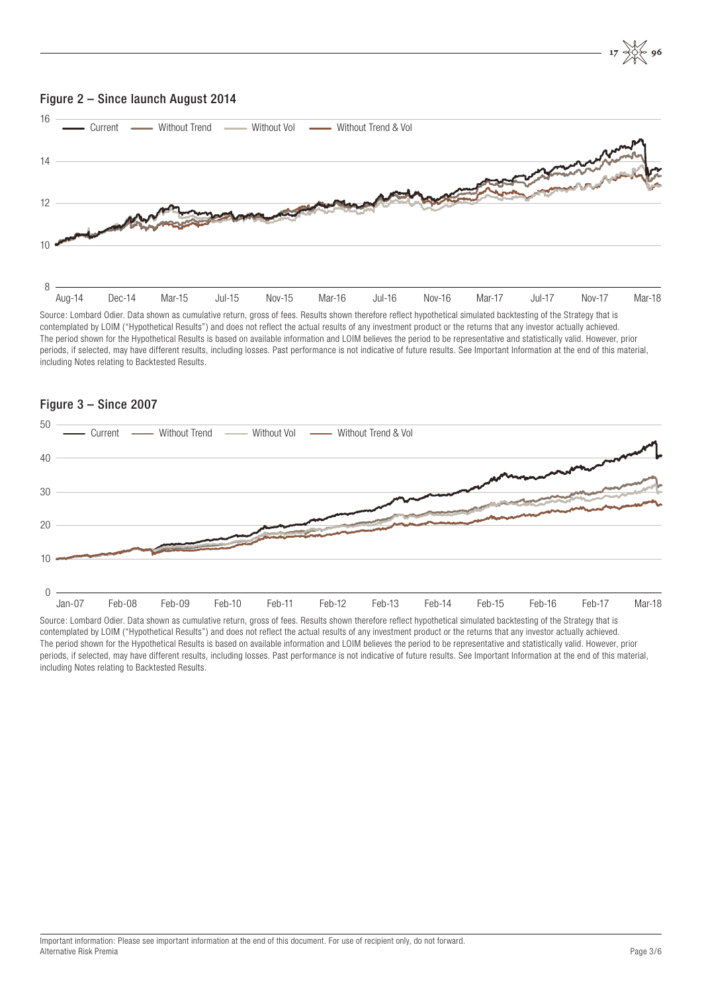

contemplated by LOIM ("Hypothetical Results") and does not reflect the actual results of any investment product or the returns that any investor actually achieved. The period shown for the Hypothetical Results is based on available information and LOIM believes the period to be representative and statistically valid. However, prior periods, if selected, may have different results, including losses. Past performance is not indicative of future results. See Important Information at the end of this material, including Notes relating to Backtested Results.



#### Figure 3 – Since 2007

Source: Lombard Odier. Data shown as cumulative return, gross of fees. Results shown therefore reflect hypothetical simulated backtesting of the Strategy that is contemplated by LOIM ("Hypothetical Results") and does not reflect the actual results of any investment product or the returns that any investor actually achieved. The period shown for the Hypothetical Results is based on available information and LOIM believes the period to be representative and statistically valid. However, prior periods, if selected, may have different results, including losses. Past performance is not indicative of future results. See Important Information at the end of this material, including Notes relating to Backtested Results.

 $\overline{\Leftrightarrow}$  96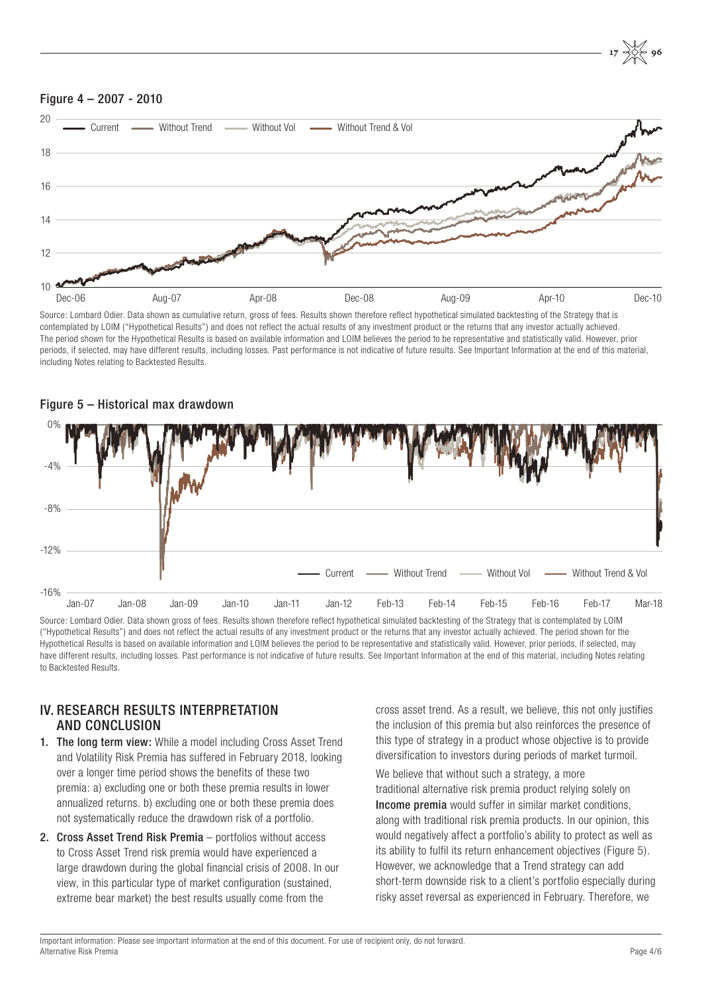

Source: Lombard Odier. Data shown as cumulative return, gross of fees. Results shown therefore reflect hypothetical simulated backtesting of the Strategy that is contemplated by LOIM ("Hypothetical Results") and does not reflect the actual results of any investment product or the returns that any investor actually achieved. The period shown for the Hypothetical Results is based on available information and LOIM believes the period to be representative and statistically valid. However, prior periods, if selected, may have different results, including losses. Past performance is not indicative of future results. See Important Information at the end of this material, including Notes relating to Backtested Results.



#### Figure 5 – Historical max drawdown

Source: Lombard Odier. Data shown gross of fees. Results shown therefore reflect hypothetical simulated backtesting of the Strategy that is contemplated by LOIM ("Hypothetical Results") and does not reflect the actual results of any investment product or the returns that any investor actually achieved. The period shown for the Hypothetical Results is based on available information and LOIM believes the period to be representative and statistically valid. However, prior periods, if selected, may have different results, including losses. Past performance is not indicative of future results. See Important Information at the end of this material, including Notes relating to Backtested Results.

### IV. RESEARCH RESULTS INTERPRETATION AND CONCLUSION

- 1. The long term view: While a model including Cross Asset Trend and Volatility Risk Premia has suffered in February 2018, looking over a longer time period shows the benefits of these two premia: a) excluding one or both these premia results in lower annualized returns. b) excluding one or both these premia does not systematically reduce the drawdown risk of a portfolio.
- 2. Cross Asset Trend Risk Premia portfolios without access to Cross Asset Trend risk premia would have experienced a large drawdown during the global financial crisis of 2008. In our view, in this particular type of market configuration (sustained, extreme bear market) the best results usually come from the

cross asset trend. As a result, we believe, this not only justifies the inclusion of this premia but also reinforces the presence of this type of strategy in a product whose objective is to provide diversification to investors during periods of market turmoil.

We believe that without such a strategy, a more traditional alternative risk premia product relying solely on Income premia would suffer in similar market conditions, along with traditional risk premia products. In our opinion, this would negatively affect a portfolio's ability to protect as well as its ability to fulfil its return enhancement objectives (Figure 5). However, we acknowledge that a Trend strategy can add short-term downside risk to a client's portfolio especially during risky asset reversal as experienced in February. Therefore, we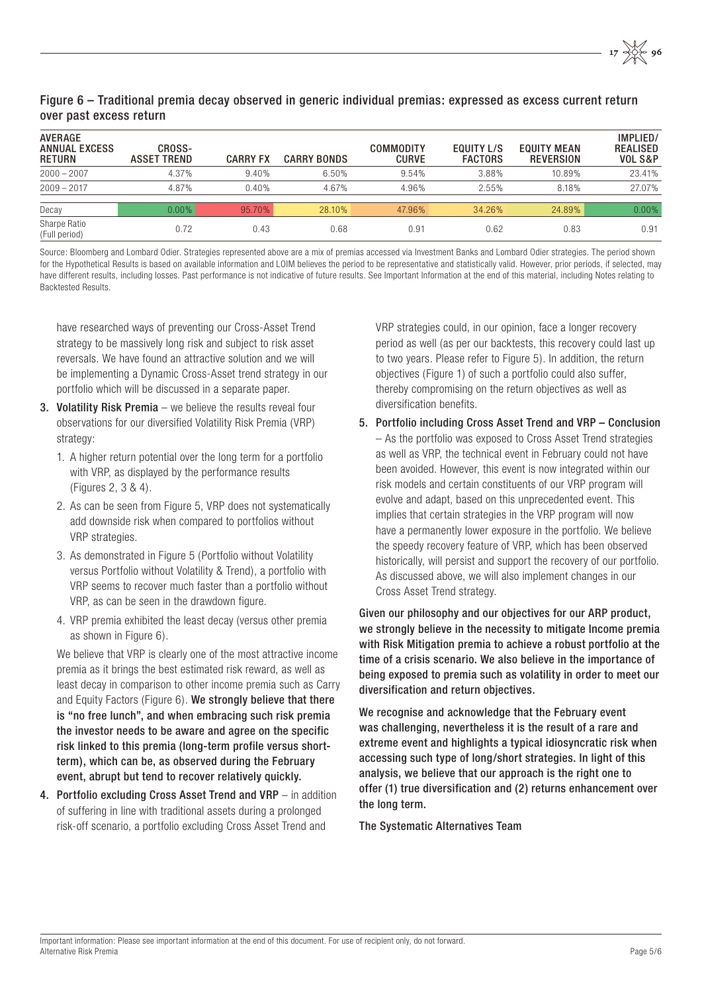#### Figure 6 – Traditional premia decay observed in generic individual premias: expressed as excess current return over past excess return

| <b>AVERAGE</b><br><b>ANNUAL EXCESS</b><br><b>RETURN</b> | CROSS-<br><b>ASSET TREND</b> | <b>CARRY FX</b> | <b>CARRY BONDS</b> | COMMODITY<br><b>CURVE</b> | <b>EQUITY L/S</b><br><b>FACTORS</b> | <b>EQUITY MEAN</b><br><b>REVERSION</b> | IMPLIED/<br><b>REALISED</b><br><b>VOL S&amp;P</b> |
|---------------------------------------------------------|------------------------------|-----------------|--------------------|---------------------------|-------------------------------------|----------------------------------------|---------------------------------------------------|
| $2000 - 2007$                                           | 4.37%                        | 9.40%           | 6.50%              | 9.54%                     | 3.88%                               | 10.89%                                 | 23.41%                                            |
| $2009 - 2017$                                           | 4.87%                        | 0.40%           | 4.67%              | 4.96%                     | 2.55%                               | 8.18%                                  | 27.07%                                            |
| Decay                                                   | $0.00\%$                     | 95.70%          | 28.10%             | 47.96%                    | 34.26%                              | 24.89%                                 | 0.00%                                             |
| Sharpe Ratio<br>(Full period)                           | 0.72                         | 0.43            | 0.68               | 0.91                      | 0.62                                | 0.83                                   | 0.91                                              |

Source: Bloomberg and Lombard Odier. Strategies represented above are a mix of premias accessed via Investment Banks and Lombard Odier strategies. The period shown for the Hypothetical Results is based on available information and LOIM believes the period to be representative and statistically valid. However, prior periods, if selected, may have different results, including losses. Past performance is not indicative of future results. See Important Information at the end of this material, including Notes relating to Backtested Results.

have researched ways of preventing our Cross-Asset Trend strategy to be massively long risk and subject to risk asset reversals. We have found an attractive solution and we will be implementing a Dynamic Cross-Asset trend strategy in our portfolio which will be discussed in a separate paper.

- 3. Volatility Risk Premia we believe the results reveal four observations for our diversified Volatility Risk Premia (VRP) strategy:
	- 1. A higher return potential over the long term for a portfolio with VRP, as displayed by the performance results (Figures 2, 3 & 4).
	- 2. As can be seen from Figure 5, VRP does not systematically add downside risk when compared to portfolios without VRP strategies.
	- 3. As demonstrated in Figure 5 (Portfolio without Volatility versus Portfolio without Volatility & Trend), a portfolio with VRP seems to recover much faster than a portfolio without VRP, as can be seen in the drawdown figure.
	- 4. VRP premia exhibited the least decay (versus other premia as shown in Figure 6).

We believe that VRP is clearly one of the most attractive income premia as it brings the best estimated risk reward, as well as least decay in comparison to other income premia such as Carry and Equity Factors (Figure 6). We strongly believe that there is "no free lunch", and when embracing such risk premia the investor needs to be aware and agree on the specific risk linked to this premia (long-term profile versus shortterm), which can be, as observed during the February event, abrupt but tend to recover relatively quickly.

4. Portfolio excluding Cross Asset Trend and VRP – in addition of suffering in line with traditional assets during a prolonged risk-off scenario, a portfolio excluding Cross Asset Trend and

VRP strategies could, in our opinion, face a longer recovery period as well (as per our backtests, this recovery could last up to two years. Please refer to Figure 5). In addition, the return objectives (Figure 1) of such a portfolio could also suffer, thereby compromising on the return objectives as well as diversification benefits.

5. Portfolio including Cross Asset Trend and VRP – Conclusion – As the portfolio was exposed to Cross Asset Trend strategies as well as VRP, the technical event in February could not have been avoided. However, this event is now integrated within our risk models and certain constituents of our VRP program will evolve and adapt, based on this unprecedented event. This implies that certain strategies in the VRP program will now have a permanently lower exposure in the portfolio. We believe the speedy recovery feature of VRP, which has been observed historically, will persist and support the recovery of our portfolio. As discussed above, we will also implement changes in our Cross Asset Trend strategy.

Given our philosophy and our objectives for our ARP product, we strongly believe in the necessity to mitigate Income premia with Risk Mitigation premia to achieve a robust portfolio at the time of a crisis scenario. We also believe in the importance of being exposed to premia such as volatility in order to meet our diversification and return objectives.

We recognise and acknowledge that the February event was challenging, nevertheless it is the result of a rare and extreme event and highlights a typical idiosyncratic risk when accessing such type of long/short strategies. In light of this analysis, we believe that our approach is the right one to offer (1) true diversification and (2) returns enhancement over the long term.

The Systematic Alternatives Team